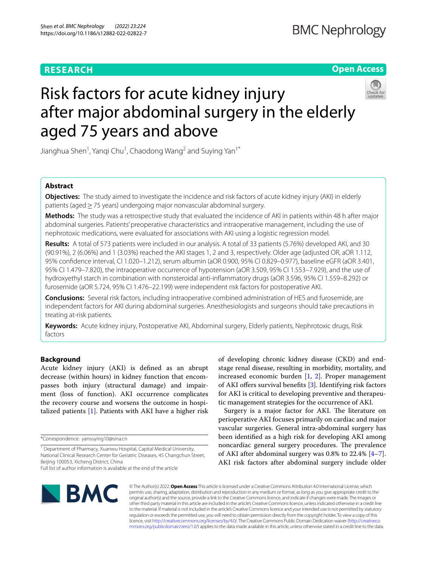# **RESEARCH**

**Open Access**

# Risk factors for acute kidney injury after major abdominal surgery in the elderly aged 75 years and above

Jianghua Shen<sup>1</sup>, Yanqi Chu<sup>1</sup>, Chaodong Wang<sup>2</sup> and Suying Yan<sup>1\*</sup>

# **Abstract**

**Objectives:** The study aimed to investigate the incidence and risk factors of acute kidney injury (AKI) in elderly patients (aged≥75 years) undergoing major nonvascular abdominal surgery.

**Methods:** The study was a retrospective study that evaluated the incidence of AKI in patients within 48 h after major abdominal surgeries. Patients' preoperative characteristics and intraoperative management, including the use of nephrotoxic medications, were evaluated for associations with AKI using a logistic regression model.

**Results:** A total of 573 patients were included in our analysis. A total of 33 patients (5.76%) developed AKI, and 30 (90.91%), 2 (6.06%) and 1 (3.03%) reached the AKI stages 1, 2 and 3, respectively. Older age (adjusted OR, aOR 1.112, 95% confdence interval, CI 1.020–1.212), serum albumin (aOR 0.900, 95% CI 0.829–0.977), baseline eGFR (aOR 3.401, 95% CI 1.479–7.820), the intraoperative occurrence of hypotension (aOR 3.509, 95% CI 1.553–7.929), and the use of hydroxyethyl starch in combination with nonsteroidal anti-infammatory drugs (aOR 3.596, 95% CI 1.559–8.292) or furosemide (aOR 5.724, 95% CI 1.476–22.199) were independent risk factors for postoperative AKI.

**Conclusions:** Several risk factors, including intraoperative combined administration of HES and furosemide, are independent factors for AKI during abdominal surgeries. Anesthesiologists and surgeons should take precautions in treating at-risk patients.

**Keywords:** Acute kidney injury, Postoperative AKI, Abdominal surgery, Elderly patients, Nephrotoxic drugs, Risk factors

# **Background**

Acute kidney injury (AKI) is defned as an abrupt decrease (within hours) in kidney function that encompasses both injury (structural damage) and impairment (loss of function). AKI occurrence complicates the recovery course and worsens the outcome in hospitalized patients [[1\]](#page-7-0). Patients with AKI have a higher risk

of developing chronic kidney disease (CKD) and endstage renal disease, resulting in morbidity, mortality, and increased economic burden [\[1](#page-7-0), [2](#page-7-1)]. Proper management of AKI offers survival benefits  $[3]$  $[3]$ . Identifying risk factors for AKI is critical to developing preventive and therapeutic management strategies for the occurrence of AKI.

Surgery is a major factor for AKI. The literature on perioperative AKI focuses primarily on cardiac and major vascular surgeries. General intra-abdominal surgery has been identifed as a high risk for developing AKI among noncardiac general surgery procedures. The prevalence of AKI after abdominal surgery was 0.8% to 22.4% [\[4](#page-7-3)[–7](#page-7-4)]. AKI risk factors after abdominal surgery include older



© The Author(s) 2022. **Open Access** This article is licensed under a Creative Commons Attribution 4.0 International License, which permits use, sharing, adaptation, distribution and reproduction in any medium or format, as long as you give appropriate credit to the original author(s) and the source, provide a link to the Creative Commons licence, and indicate if changes were made. The images or other third party material in this article are included in the article's Creative Commons licence, unless indicated otherwise in a credit line to the material. If material is not included in the article's Creative Commons licence and your intended use is not permitted by statutory regulation or exceeds the permitted use, you will need to obtain permission directly from the copyright holder. To view a copy of this licence, visit [http://creativecommons.org/licenses/by/4.0/.](http://creativecommons.org/licenses/by/4.0/) The Creative Commons Public Domain Dedication waiver ([http://creativeco](http://creativecommons.org/publicdomain/zero/1.0/) [mmons.org/publicdomain/zero/1.0/](http://creativecommons.org/publicdomain/zero/1.0/)) applies to the data made available in this article, unless otherwise stated in a credit line to the data.

<sup>\*</sup>Correspondence: yansuying10@sina.cn

<sup>&</sup>lt;sup>1</sup> Department of Pharmacy, Xuanwu Hospital, Capital Medical University, National Clinical Research Center for Geriatric Diseases, 45 Changchun Street, Beijing 100053, Xicheng District, China

Full list of author information is available at the end of the article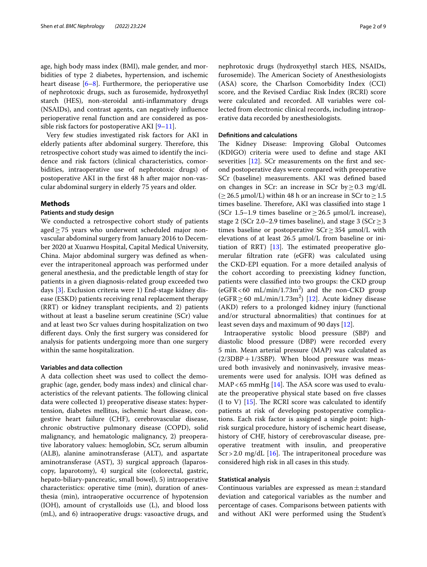age, high body mass index (BMI), male gender, and morbidities of type 2 diabetes, hypertension, and ischemic heart disease [\[6](#page-7-5)[–8](#page-7-6)]. Furthermore, the perioperative use of nephrotoxic drugs, such as furosemide, hydroxyethyl starch (HES), non-steroidal anti-infammatory drugs (NSAIDs), and contrast agents, can negatively infuence perioperative renal function and are considered as possible risk factors for postoperative AKI  $[9-11]$  $[9-11]$  $[9-11]$ .

Very few studies investigated risk factors for AKI in elderly patients after abdominal surgery. Therefore, this retrospective cohort study was aimed to identify the incidence and risk factors (clinical characteristics, comorbidities, intraoperative use of nephrotoxic drugs) of postoperative AKI in the frst 48 h after major non-vascular abdominal surgery in elderly 75 years and older.

# **Methods**

#### **Patients and study design**

We conducted a retrospective cohort study of patients aged≥75 years who underwent scheduled major nonvascular abdominal surgery from January 2016 to December 2020 at Xuanwu Hospital, Capital Medical University, China. Major abdominal surgery was defned as whenever the intraperitoneal approach was performed under general anesthesia, and the predictable length of stay for patients in a given diagnosis-related group exceeded two days [[3\]](#page-7-2). Exclusion criteria were 1) End-stage kidney disease (ESKD) patients receiving renal replacement therapy (RRT) or kidney transplant recipients, and 2) patients without at least a baseline serum creatinine (SCr) value and at least two Scr values during hospitalization on two diferent days. Only the frst surgery was considered for analysis for patients undergoing more than one surgery within the same hospitalization.

# **Variables and data collection**

A data collection sheet was used to collect the demographic (age, gender, body mass index) and clinical characteristics of the relevant patients. The following clinical data were collected 1) preoperative disease states: hypertension, diabetes mellitus, ischemic heart disease, congestive heart failure (CHF), cerebrovascular disease, chronic obstructive pulmonary disease (COPD), solid malignancy, and hematologic malignancy, 2) preoperative laboratory values: hemoglobin, SCr, serum albumin (ALB), alanine aminotransferase (ALT), and aspartate aminotransferase (AST), 3) surgical approach (laparoscopy, laparotomy), 4) surgical site (colorectal, gastric, hepato-biliary-pancreatic, small bowel), 5) intraoperative characteristics: operative time (min), duration of anesthesia (min), intraoperative occurrence of hypotension (IOH), amount of crystalloids use (L), and blood loss (mL), and 6) intraoperative drugs: vasoactive drugs, and nephrotoxic drugs (hydroxyethyl starch HES, NSAIDs, furosemide). The American Society of Anesthesiologists (ASA) score, the Charlson Comorbidity Index (CCI) score, and the Revised Cardiac Risk Index (RCRI) score were calculated and recorded. All variables were collected from electronic clinical records, including intraoperative data recorded by anesthesiologists.

## **Defnitions and calculations**

The Kidney Disease: Improving Global Outcomes (KDIGO) criteria were used to defne and stage AKI severities [[12\]](#page-7-9). SCr measurements on the first and second postoperative days were compared with preoperative SCr (baseline) measurements. AKI was defned based on changes in SCr: an increase in SCr by  $\geq$  0.3 mg/dL ( $≥$  26.5 µmol/L) within 48 h or an increase in SCr to  $≥$  1.5 times baseline. Therefore, AKI was classified into stage 1 (SCr 1.5–1.9 times baseline or  $\geq$  26.5  $\mu$ mol/L increase), stage 2 (SCr 2.0–2.9 times baseline), and stage 3 (SCr  $\geq$  3 times baseline or postoperative  $SCr \geq 354$   $\mu$ mol/L with elevations of at least 26.5 μmol/L from baseline or initiation of RRT)  $[13]$  $[13]$ . The estimated preoperative glomerular fltration rate (eGFR) was calculated using the CKD-EPI equation. For a more detailed analysis of the cohort according to preexisting kidney function, patients were classifed into two groups: the CKD group  $(eGFR < 60 \text{ mL/min}/1.73 \text{m}^2)$  and the non-CKD group  $(eGFR \ge 60 \text{ mL/min}/1.73 \text{m}^2)$  [[12](#page-7-9)]. Acute kidney disease (AKD) refers to a prolonged kidney injury (functional and/or structural abnormalities) that continues for at least seven days and maximum of 90 days [\[12\]](#page-7-9).

Intraoperative systolic blood pressure (SBP) and diastolic blood pressure (DBP) were recorded every 5 min. Mean arterial pressure (MAP) was calculated as  $(2/3DBP+1/3SBP)$ . When blood pressure was measured both invasively and noninvasively, invasive measurements were used for analysis. IOH was defned as MAP < 65 mmHg  $[14]$  $[14]$ . The ASA score was used to evaluate the preoperative physical state based on fve classes (I to V)  $[15]$  $[15]$ . The RCRI score was calculated to identify patients at risk of developing postoperative complications. Each risk factor is assigned a single point: highrisk surgical procedure, history of ischemic heart disease, history of CHF, history of cerebrovascular disease, preoperative treatment with insulin, and preoperative  $Scr > 2.0$  mg/dL [[16](#page-7-13)]. The intraperitoneal procedure was considered high risk in all cases in this study.

# **Statistical analysis**

Continuous variables are expressed as mean $\pm$ standard deviation and categorical variables as the number and percentage of cases. Comparisons between patients with and without AKI were performed using the Student's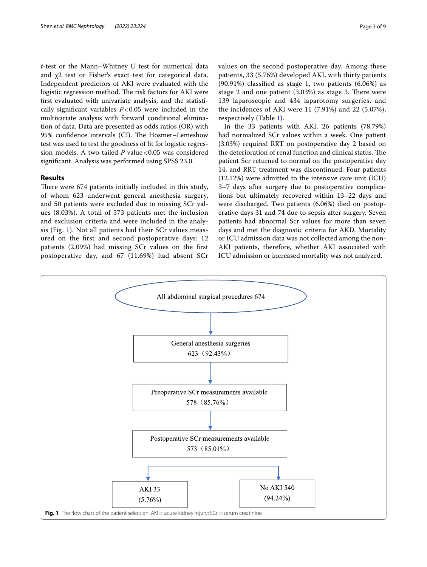*t*-test or the Mann–Whitney U test for numerical data and χ2 test or Fisher's exact test for categorical data. Independent predictors of AKI were evaluated with the logistic regression method. The risk factors for AKI were frst evaluated with univariate analysis, and the statistically signifcant variables *P*<0.05 were included in the multivariate analysis with forward conditional elimination of data. Data are presented as odds ratios (OR) with 95% confidence intervals (CI). The Hosmer–Lemeshow test was used to test the goodness of ft for logistic regression models. A two-tailed *P* value <0.05 was considered signifcant. Analysis was performed using SPSS 23.0.

# **Results**

There were 674 patients initially included in this study, of whom 623 underwent general anesthesia surgery, and 50 patients were excluded due to missing SCr values (8.03%). A total of 573 patients met the inclusion and exclusion criteria and were included in the analysis (Fig. [1](#page-2-0)). Not all patients had their SCr values measured on the frst and second postoperative days: 12 patients (2.09%) had missing SCr values on the frst postoperative day, and 67 (11.69%) had absent SCr values on the second postoperative day. Among these patients, 33 (5.76%) developed AKI, with thirty patients (90.91%) classifed as stage 1, two patients (6.06%) as stage 2 and one patient  $(3.03%)$  as stage 3. There were 139 laparoscopic and 434 laparotomy surgeries, and the incidences of AKI were 11 (7.91%) and 22 (5.07%), respectively (Table [1](#page-3-0)).

In the 33 patients with AKI, 26 patients (78.79%) had normalized SCr values within a week. One patient (3.03%) required RRT on postoperative day 2 based on the deterioration of renal function and clinical status. The patient Scr returned to normal on the postoperative day 14, and RRT treatment was discontinued. Four patients (12.12%) were admitted to the intensive care unit (ICU) 3–7 days after surgery due to postoperative complications but ultimately recovered within 13–22 days and were discharged. Two patients (6.06%) died on postoperative days 31 and 74 due to sepsis after surgery. Seven patients had abnormal Scr values for more than seven days and met the diagnostic criteria for AKD. Mortality or ICU admission data was not collected among the non-AKI patients, therefore, whether AKI associated with ICU admission or increased mortality was not analyzed.

<span id="page-2-0"></span>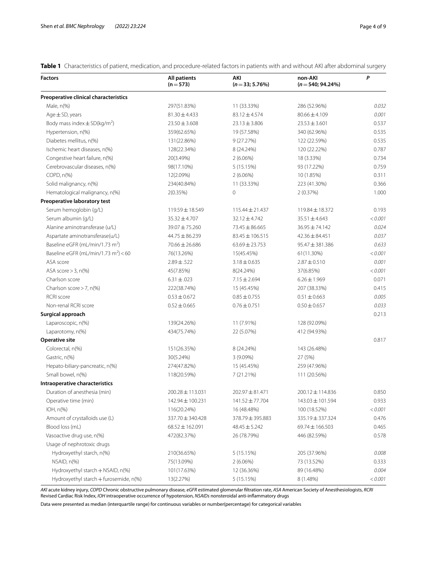<span id="page-3-0"></span>**Table 1** Characteristics of patient, medication, and procedure-related factors in patients with and without AKI after abdominal surgery

| <b>Factors</b>                                  | <b>All patients</b><br>$(n=573)$ | AKI<br>$(n=33; 5.76%)$ | non-AKI<br>$(n=540; 94.24\%)$ | $\mathsf{P}$ |
|-------------------------------------------------|----------------------------------|------------------------|-------------------------------|--------------|
| Preoperative clinical characteristics           |                                  |                        |                               |              |
| Male, n(%)                                      | 297(51.83%)                      | 11 (33.33%)            | 286 (52.96%)                  | 0.032        |
| Age $\pm$ SD, years                             | $81.30 \pm 4.433$                | $83.12 \pm 4.574$      | $80.66 \pm 4.109$             | 0.001        |
| Body mass index $\pm$ SD(kg/m <sup>2</sup> )    | $23.50 \pm 3.608$                | $23.13 \pm 3.806$      | $23.53 \pm 3.601$             | 0.537        |
| Hypertension, n(%)                              | 359(62.65%)                      | 19 (57.58%)            | 340 (62.96%)                  | 0.535        |
| Diabetes mellitus, n(%)                         | 131(22.86%)                      | 9 (27.27%)             | 122 (22.59%)                  | 0.535        |
| Ischemic heart diseases, n(%)                   | 128(22.34%)                      | 8 (24.24%)             | 120 (22.22%)                  | 0.787        |
| Congestive heart failure, n(%)                  | 20(3.49%)                        | $2(6.06\%)$            | 18 (3.33%)                    | 0.734        |
| Cerebrovascular diseases, n(%)                  | 98(17.10%)                       | 5 (15.15%)             | 93 (17.22%)                   | 0.759        |
| COPD, n(%)                                      | 12(2.09%)                        | $2(6.06\%)$            | 10 (1.85%)                    | 0.311        |
| Solid malignancy, n(%)                          | 234(40.84%)                      | 11 (33.33%)            | 223 (41.30%)                  | 0.366        |
| Hematological malignancy, n(%)                  | 2(0.35%)                         | $\mathbf 0$            | 2(0.37%)                      | 1.000        |
| Preoperative laboratory test                    |                                  |                        |                               |              |
| Serum hemoglobin (g/L)                          | 119.59 ± 18.549                  | $115.44 \pm 21.437$    | 119.84 ± 18.372               | 0.193        |
| Serum albumin (g/L)                             | $35.32 \pm 4.707$                | $32.12 \pm 4.742$      | 35.51 ± 4.643                 | < 0.001      |
| Alanine aminotransferase (u/L)                  | 39.07 ± 75.260                   | 73.45 ± 86.665         | $36.95 \pm 74.142$            | 0.024        |
| Aspartate aminotransferase(u/L)                 | $44.75 \pm 86.239$               | $83.45 \pm 106.515$    | $42.36 \pm 84.451$            | 0.037        |
| Baseline eGFR (mL/min/1.73 m <sup>2</sup> )     | $70.66 \pm 26.686$               | $63.69 \pm 23.753$     | 95.47 ± 381.386               | 0.633        |
| Baseline eGFR (mL/min/1.73 m <sup>2</sup> ) <60 | 76(13.26%)                       | 15(45.45%)             | 61(11.30%)                    | < 0.001      |
| ASA score                                       | $2.89 \pm .522$                  | $3.18 \pm 0.635$       | $2.87 \pm 0.510$              | 0.001        |
| ASA score $>$ 3, n(%)                           | 45(7.85%)                        | 8(24.24%)              | 37(6.85%)                     | < 0.001      |
| Charlson score                                  | $6.31 \pm .023$                  | $7.15 \pm 2.694$       | $6.26 \pm 1.969$              | 0.071        |
| Charlson score $>$ 7, n(%)                      | 222(38.74%)                      | 15 (45.45%)            | 207 (38.33%)                  | 0.415        |
| <b>RCRI</b> score                               | $0.53 \pm 0.672$                 | $0.85 \pm 0.755$       | $0.51 \pm 0.663$              | 0.005        |
| Non-renal RCRI score                            | $0.52 \pm 0.665$                 | $0.76 \pm 0.751$       | $0.50 \pm 0.657$              | 0.033        |
| Surgical approach                               |                                  |                        |                               | 0.213        |
| Laparoscopic, n(%)                              | 139(24.26%)                      | 11 (7.91%)             | 128 (92.09%)                  |              |
| Laparotomy, n(%)                                | 434(75.74%)                      | 22 (5.07%)             | 412 (94.93%)                  |              |
| Operative site                                  |                                  |                        |                               | 0.817        |
| Colorectal, n(%)                                | 151(26.35%)                      | 8 (24.24%)             | 143 (26.48%)                  |              |
| Gastric, n(%)                                   | 30(5.24%)                        | 3(9.09%)               | 27 (5%)                       |              |
| Hepato-biliary-pancreatic, n(%)                 | 274(47.82%)                      | 15 (45.45%)            | 259 (47.96%)                  |              |
| Small bowel, n(%)                               | 118(20.59%)                      | 7 (21.21%)             | 111 (20.56%)                  |              |
| Intraoperative characteristics                  |                                  |                        |                               |              |
| Duration of anesthesia (min)                    | $200.28 \pm 113.031$             | $202.97 + 81.471$      | $200.12 \pm 114.836$          | 0.850        |
| Operative time (min)                            | $142.94 \pm 100.231$             | $141.52 \pm 77.704$    | 143.03 ± 101.594              | 0.933        |
| $IOH, n(\%)$                                    | 116(20.24%)                      | 16 (48.48%)            | 100 (18.52%)                  | < 0.001      |
| Amount of crystalloids use (L)                  | 337.70 ± 340.428                 | 378.79 ± 395.883       | 335.19 ± 337.324              | 0.476        |
| Blood loss (mL)                                 | $68.52 \pm 162.091$              | $48.45 \pm 5.242$      | 69.74±166.503                 | 0.465        |
| Vasoactive drug use, n(%)                       | 472(82.37%)                      | 26 (78.79%)            | 446 (82.59%)                  | 0.578        |
| Usage of nephrotoxic drugs                      |                                  |                        |                               |              |
| Hydroxyethyl starch, n(%)                       | 210(36.65%)                      | 5 (15.15%)             | 205 (37.96%)                  | 0.008        |
| NSAID, n(%)                                     | 75(13.09%)                       | $2(6.06\%)$            | 73 (13.52%)                   | 0.333        |
| Hydroxyethyl starch + NSAID, n(%)               | 101(17.63%)                      | 12 (36.36%)            | 89 (16.48%)                   | 0.004        |
| Hydroxyethyl starch + furosemide, n(%)          | 13(2.27%)                        | 5 (15.15%)             | 8 (1.48%)                     | < 0.001      |

*AKI* acute kidney injury, *COPD* Chronic obstructive pulmonary disease, *eGFR* estimated glomerular fltration rate, *ASA* American Society of Anesthesiologists, *RCRI* Revised Cardiac Risk Index, *IOH* intraoperative occurrence of hypotension, *NSAIDs* nonsteroidal anti-infammatory drugs

Data were presented as median (interquartile range) for continuous variables or number(percentage) for categorical variables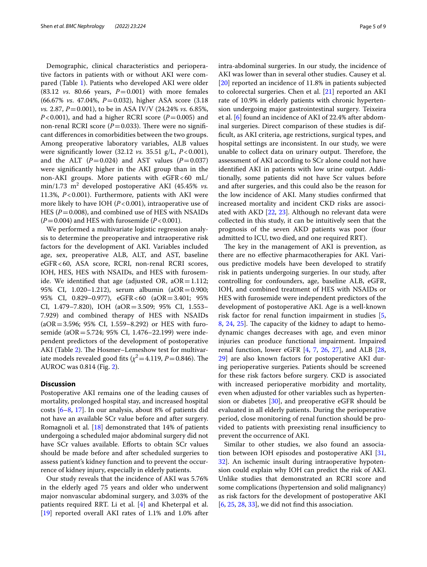Demographic, clinical characteristics and perioperative factors in patients with or without AKI were compared (Table [1\)](#page-3-0). Patients who developed AKI were older  $(83.12 \text{ vs. } 80.66 \text{ years}, P=0.001)$  with more females (66.67% *vs*. 47.04%, *P*=0.032), higher ASA score (3.18 *vs.* 2.87, *P*=0.001), to be in ASA IV/V (24.24% *vs.* 6.85%,  $P < 0.001$ ), and had a higher RCRI score ( $P = 0.005$ ) and non-renal RCRI score  $(P=0.033)$ . There were no significant diferences in comorbidities between the two groups. Among preoperative laboratory variables, ALB values were signifcantly lower (32.12 *vs.* 35.51 g/L, *P*<0.001), and the ALT  $(P=0.024)$  and AST values  $(P=0.037)$ were signifcantly higher in the AKI group than in the non-AKI groups. More patients with eGFR<60 mL/ min/1.73 m<sup>2</sup> developed postoperative AKI (45.45% *vs.* 11.3%, *P*<0.001). Furthermore, patients with AKI were more likely to have IOH (*P*<0.001), intraoperative use of HES ( $P = 0.008$ ), and combined use of HES with NSAIDs  $(P=0.004)$  and HES with furosemide  $(P<0.001)$ .

We performed a multivariate logistic regression analysis to determine the preoperative and intraoperative risk factors for the development of AKI. Variables included age, sex, preoperative ALB, ALT, and AST, baseline eGFR<60, ASA score, RCRI, non-renal RCRI scores, IOH, HES, HES with NSAIDs, and HES with furosemide. We identified that age (adjusted OR,  $aOR = 1.112$ ; 95% CI, 1.020–1.212), serum albumin (aOR=0.900; 95% CI, 0.829–0.977), eGFR<60 (aOR=3.401; 95% CI, 1.479–7.820), IOH (aOR=3.509; 95% CI, 1.553– 7.929) and combined therapy of HES with NSAIDs  $(aOR = 3.596; 95\% CI, 1.559 - 8.292)$  or HES with furosemide (aOR=5.724; 95% CI, 1.476–22.199) were independent predictors of the development of postoperative AKI (Table [2](#page-5-0)). The Hosmer–Lemeshow test for multivariate models revealed good fits ( $\chi^2$  = 4.119, *P* = 0.846). The AUROC was 0.814 (Fig. [2\)](#page-6-0).

# **Discussion**

Postoperative AKI remains one of the leading causes of mortality, prolonged hospital stay, and increased hospital costs [[6](#page-7-5)[–8](#page-7-6), [17](#page-7-14)]. In our analysis, about 8% of patients did not have an available SCr value before and after surgery. Romagnoli et al. [\[18\]](#page-7-15) demonstrated that 14% of patients undergoing a scheduled major abdominal surgery did not have SCr values available. Efforts to obtain SCr values should be made before and after scheduled surgeries to assess patient's kidney function and to prevent the occurrence of kidney injury, especially in elderly patients.

Our study reveals that the incidence of AKI was 5.76% in the elderly aged 75 years and older who underwent major nonvascular abdominal surgery, and 3.03% of the patients required RRT. Li et al. [[4\]](#page-7-3) and Kheterpal et al. [[19\]](#page-7-16) reported overall AKI rates of 1.1% and 1.0% after intra-abdominal surgeries. In our study, the incidence of AKI was lower than in several other studies. Causey et al. [[20\]](#page-7-17) reported an incidence of 11.8% in patients subjected to colorectal surgeries. Chen et al. [[21](#page-7-18)] reported an AKI rate of 10.9% in elderly patients with chronic hypertension undergoing major gastrointestinal surgery. Teixeira et al. [\[6](#page-7-5)] found an incidence of AKI of 22.4% after abdominal surgeries. Direct comparison of these studies is diffcult, as AKI criteria, age restrictions, surgical types, and hospital settings are inconsistent. In our study, we were unable to collect data on urinary output. Therefore, the assessment of AKI according to SCr alone could not have identifed AKI in patients with low urine output. Additionally, some patients did not have Scr values before and after surgeries, and this could also be the reason for the low incidence of AKI. Many studies confrmed that increased mortality and incident CKD risks are associated with AKD [[22,](#page-7-19) [23\]](#page-7-20). Although no relevant data were collected in this study, it can be intuitively seen that the prognosis of the seven AKD patients was poor (four admitted to ICU, two died, and one required RRT).

The key in the management of AKI is prevention, as there are no efective pharmacotherapies for AKI. Various predictive models have been developed to stratify risk in patients undergoing surgeries. In our study, after controlling for confounders, age, baseline ALB, eGFR, IOH, and combined treatment of HES with NSAIDs or HES with furosemide were independent predictors of the development of postoperative AKI. Age is a well-known risk factor for renal function impairment in studies [\[5](#page-7-21), [8,](#page-7-6) [24,](#page-7-22) [25](#page-7-23)]. The capacity of the kidney to adapt to hemodynamic changes decreases with age, and even minor injuries can produce functional impairment. Impaired renal function, lower eGFR [\[4,](#page-7-3) [7,](#page-7-4) [26,](#page-7-24) [27](#page-7-25)], and ALB [[28](#page-7-26), [29\]](#page-7-27) are also known factors for postoperative AKI during perioperative surgeries. Patients should be screened for these risk factors before surgery. CKD is associated with increased perioperative morbidity and mortality, even when adjusted for other variables such as hypertension or diabetes [\[30](#page-7-28)], and preoperative eGFR should be evaluated in all elderly patients. During the perioperative period, close monitoring of renal function should be provided to patients with preexisting renal insufficiency to prevent the occurrence of AKI.

Similar to other studies, we also found an association between IOH episodes and postoperative AKI [[31](#page-7-29), [32\]](#page-7-30). An ischemic insult during intraoperative hypotension could explain why IOH can predict the risk of AKI. Unlike studies that demonstrated an RCRI score and some complications (hypertension and solid malignancy) as risk factors for the development of postoperative AKI [[6,](#page-7-5) [25](#page-7-23), [28,](#page-7-26) [33\]](#page-8-0), we did not fnd this association.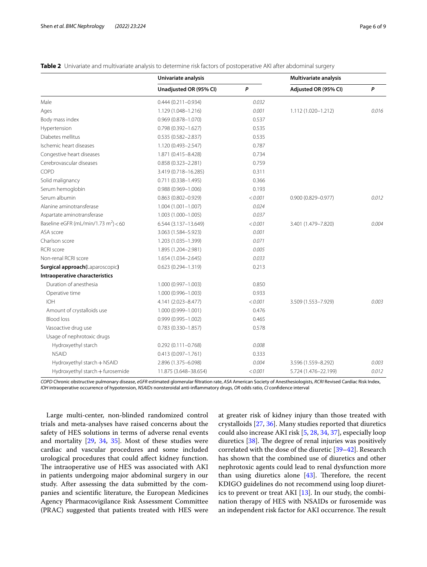<span id="page-5-0"></span>

|  |  |  | Table 2 Univariate and multivariate analysis to determine risk factors of postoperative AKI after abdominal surgery |
|--|--|--|---------------------------------------------------------------------------------------------------------------------|
|  |  |  |                                                                                                                     |

|                                                  | Univariate analysis    |         | Multivariate analysis  |              |
|--------------------------------------------------|------------------------|---------|------------------------|--------------|
|                                                  | Unadjusted OR (95% CI) | P       | Adjusted OR (95% CI)   | $\mathsf{P}$ |
| Male                                             | $0.444(0.211 - 0.934)$ | 0.032   |                        |              |
| Ages                                             | 1.129 (1.048-1.216)    | 0.001   | 1.112 (1.020-1.212)    | 0.016        |
| Body mass index                                  | $0.969(0.878 - 1.070)$ | 0.537   |                        |              |
| Hypertension                                     | $0.798(0.392 - 1.627)$ | 0.535   |                        |              |
| Diabetes mellitus                                | $0.535(0.582 - 2.837)$ | 0.535   |                        |              |
| Ischemic heart diseases                          | 1.120 (0.493-2.547)    | 0.787   |                        |              |
| Congestive heart diseases                        | 1.871 (0.415-8.428)    | 0.734   |                        |              |
| Cerebrovascular diseases                         | $0.858(0.323 - 2.281)$ | 0.759   |                        |              |
| COPD                                             | 3.419 (0.718-16.285)   | 0.311   |                        |              |
| Solid malignancy                                 | $0.711(0.338 - 1.495)$ | 0.366   |                        |              |
| Serum hemoglobin                                 | 0.988 (0.969-1.006)    | 0.193   |                        |              |
| Serum albumin                                    | $0.863(0.802 - 0.929)$ | < 0.001 | $0.900(0.829 - 0.977)$ | 0.012        |
| Alanine aminotransferase                         | 1.004 (1.001-1.007)    | 0.024   |                        |              |
| Aspartate aminotransferase                       | 1.003 (1.000-1.005)    | 0.037   |                        |              |
| Baseline eGFR (mL/min/1.73 m <sup>2</sup> ) < 60 | 6.544 (3.137-13.649)   | < 0.001 | 3.401 (1.479-7.820)    | 0.004        |
| ASA score                                        | 3.063 (1.584-5.923)    | 0.001   |                        |              |
| Charlson score                                   | 1.203 (1.035-1.399)    | 0.071   |                        |              |
| <b>RCRI</b> score                                | 1.895 (1.204-2.981)    | 0.005   |                        |              |
| Non-renal RCRI score                             | 1.654 (1.034-2.645)    | 0.033   |                        |              |
| Surgical approach(Laparoscopic)                  | $0.623(0.294 - 1.319)$ | 0.213   |                        |              |
| Intraoperative characteristics                   |                        |         |                        |              |
| Duration of anesthesia                           | 1.000 (0.997-1.003)    | 0.850   |                        |              |
| Operative time                                   | 1.000 (0.996-1.003)    | 0.933   |                        |              |
| IOH                                              | 4.141 (2.023-8.477)    | < 0.001 | 3.509 (1.553-7.929)    | 0.003        |
| Amount of crystalloids use                       | 1.000 (0.999-1.001)    | 0.476   |                        |              |
| <b>Blood loss</b>                                | 0.999 (0.995-1.002)    | 0.465   |                        |              |
| Vasoactive drug use                              | $0.783(0.330 - 1.857)$ | 0.578   |                        |              |
| Usage of nephrotoxic drugs                       |                        |         |                        |              |
| Hydroxyethyl starch                              | $0.292(0.111 - 0.768)$ | 0.008   |                        |              |
| <b>NSAID</b>                                     | $0.413(0.097 - 1.761)$ | 0.333   |                        |              |
| Hydroxyethyl starch + NSAID                      | 2.896 (1.375-6.098)    | 0.004   | 3.596 (1.559-8.292)    | 0.003        |
| Hydroxyethyl starch + furosemide                 | 11.875 (3.648-38.654)  | < 0.001 | 5.724 (1.476-22.199)   | 0.012        |

*COPD* Chronic obstructive pulmonary disease, *eGFR* estimated glomerular fltration rate, *ASA* American Society of Anesthesiologists, *RCRI* Revised Cardiac Risk Index, *IOH* intraoperative occurrence of hypotension, *NSAIDs* nonsteroidal anti-infammatory drugs, *OR* odds ratio, *CI* confdence interval

Large multi-center, non-blinded randomized control trials and meta-analyses have raised concerns about the safety of HES solutions in terms of adverse renal events and mortality [[29,](#page-7-27) [34](#page-8-1), [35](#page-8-2)]. Most of these studies were cardiac and vascular procedures and some included urological procedures that could afect kidney function. The intraoperative use of HES was associated with AKI in patients undergoing major abdominal surgery in our study. After assessing the data submitted by the companies and scientifc literature, the European Medicines Agency Pharmacovigilance Risk Assessment Committee (PRAC) suggested that patients treated with HES were

at greater risk of kidney injury than those treated with crystalloids [\[27,](#page-7-25) [36](#page-8-3)]. Many studies reported that diuretics could also increase AKI risk [\[5](#page-7-21), [28,](#page-7-26) [34,](#page-8-1) [37](#page-8-4)], especially loop diuretics  $[38]$  $[38]$ . The degree of renal injuries was positively correlated with the dose of the diuretic [\[39](#page-8-6)[–42\]](#page-8-7). Research has shown that the combined use of diuretics and other nephrotoxic agents could lead to renal dysfunction more than using diuretics alone  $[43]$  $[43]$ . Therefore, the recent KDIGO guidelines do not recommend using loop diuretics to prevent or treat AKI  $[13]$  $[13]$ . In our study, the combination therapy of HES with NSAIDs or furosemide was an independent risk factor for AKI occurrence. The result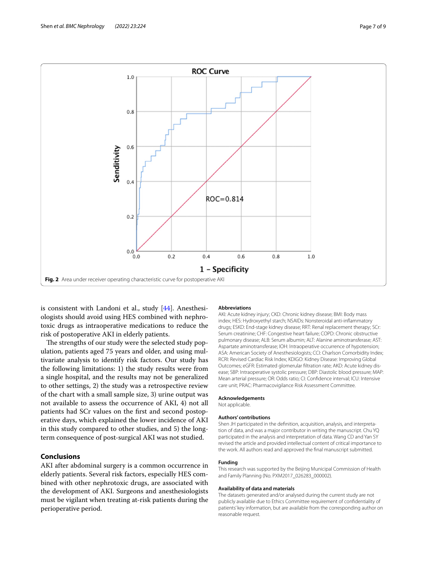

<span id="page-6-0"></span>is consistent with Landoni et al., study [[44\]](#page-8-9). Anesthesiologists should avoid using HES combined with nephrotoxic drugs as intraoperative medications to reduce the risk of postoperative AKI in elderly patients.

The strengths of our study were the selected study population, patients aged 75 years and older, and using multivariate analysis to identify risk factors. Our study has the following limitations: 1) the study results were from a single hospital, and the results may not be generalized to other settings, 2) the study was a retrospective review of the chart with a small sample size, 3) urine output was not available to assess the occurrence of AKI, 4) not all patients had SCr values on the frst and second postoperative days, which explained the lower incidence of AKI in this study compared to other studies, and 5) the longterm consequence of post-surgical AKI was not studied.

# **Conclusions**

AKI after abdominal surgery is a common occurrence in elderly patients. Several risk factors, especially HES combined with other nephrotoxic drugs, are associated with the development of AKI. Surgeons and anesthesiologists must be vigilant when treating at-risk patients during the perioperative period.

#### **Abbreviations**

AKI: Acute kidney injury; CKD: Chronic kidney disease; BMI: Body mass index; HES: Hydroxyethyl starch; NSAIDs: Nonsteroidal anti-infammatory drugs; ESKD: End-stage kidney disease; RRT: Renal replacement therapy; SCr: Serum creatinine; CHF: Congestive heart failure; COPD: Chronic obstructive pulmonary disease; ALB: Serum albumin; ALT: Alanine aminotransferase; AST: Aspartate aminotransferase; IOH: Intraoperative occurrence of hypotension; ASA: American Society of Anesthesiologists; CCI: Charlson Comorbidity Index; RCRI: Revised Cardiac Risk Index; KDIGO: Kidney Disease: Improving Global Outcomes; eGFR: Estimated glomerular fltration rate; AKD: Acute kidney disease; SBP: Intraoperative systolic pressure; DBP: Diastolic blood pressure; MAP: Mean arterial pressure; OR: Odds ratio; CI: Confdence interval; ICU: Intensive care unit; PRAC: Pharmacovigilance Risk Assessment Committee.

#### **Acknowledgements**

Not applicable.

#### **Authors' contributions**

Shen JH participated in the defnition, acquisition, analysis, and interpretation of data, and was a major contributor in writing the manuscript. Chu YQ participated in the analysis and interpretation of data. Wang CD and Yan SY revised the article and provided intellectual content of critical importance to the work. All authors read and approved the fnal manuscript submitted.

#### **Funding**

This research was supported by the Beijing Municipal Commission of Health and Family Planning (No. PXM2017\_026283\_000002).

## **Availability of data and materials**

The datasets generated and/or analysed during the current study are not publicly available due to Ethics Committee requirement of confdentiality of patients' key information, but are available from the corresponding author on reasonable request.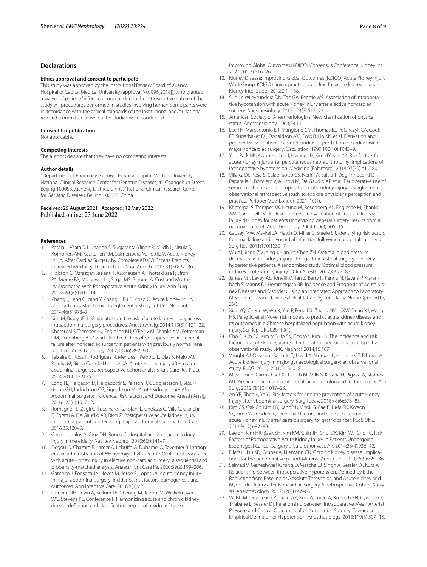# **Declarations**

#### **Ethics approval and consent to participate**

This study was approved by the Institutional Review Board of Xuanwu Hospital of Capital Medical University (approval No. 096[2018]), who granted a waiver of patients' informed consent due to the retrospective nature of the study. All procedures performed in studies involving human participants were in accordance with the ethical standards of the institutional and/or national research committee at which the studies were conducted.

#### **Consent for publication**

Not applicable.

#### **Competing interests**

The authors declare that they have no competing interests.

#### **Author details**

<sup>1</sup> Department of Pharmacy, Xuanwu Hospital, Capital Medical University, National Clinical Research Center for Geriatric Diseases, 45 Changchun Street, Beijing 100053, Xicheng District, China. <sup>2</sup>National Clinical Research Center for Geriatric Diseases, Beijing 100053, China.

## Received: 25 August 2021 Accepted: 12 May 2022 Published online: 23 June 2022

#### **References**

- <span id="page-7-0"></span>1. Petaja L, Vaara S, Liuhanen S, Suojaranta-Ylinen R, Mildh L, Nisula S, Korhonen AM, Kaukonen KM, Salmenpera M, Pettila V. Acute Kidney Injury After Cardiac Surgery by Complete KDIGO Criteria Predicts Increased Mortality. J Cardiothorac Vasc Anesth. 2017;31(3):827–36.
- <span id="page-7-1"></span>2. Hobson C, Ozrazgat-Baslanti T, Kuxhausen A, Thottakkara P, Efron PA, Moore FA, Moldawer LL, Segal MS, Bihorac A. Cost and Mortality Associated With Postoperative Acute Kidney Injury. Ann Surg. 2015;261(6):1207–14.
- <span id="page-7-2"></span>3. Zhang J, Feng G, Yang Y, Zhang P, Pu C, Zhao G. Acute kidney injury after radical gastrectomy: a single center study. Int Urol Nephrol. 2014;46(5):973–7.
- <span id="page-7-3"></span>4. Kim M, Brady JE, Li G. Variations in the risk of acute kidney injury across intraabdominal surgery procedures. Anesth Analg. 2014;119(5):1121–32.
- <span id="page-7-21"></span>5. Kheterpal S, Tremper KK, Englesbe MJ, O'Reilly M, Shanks AM, Fetterman DM, Rosenberg AL, Swartz RD. Predictors of postoperative acute renal failure after noncardiac surgery in patients with previously normal renal function. Anesthesiology. 2007;107(6):892–902.
- <span id="page-7-5"></span>6. Teixeira C, Rosa R, Rodrigues N, Mendes I, Peixoto L, Dias S, Melo MJ, Pereira M, Bicha Castelo H, Lopes JA. Acute kidney injury after major abdominal surgery: a retrospective cohort analysis. Crit Care Res Pract. 2014;2014: 132175.
- <span id="page-7-4"></span>7. Long TE, Helgason D, Helgadottir S, Palsson R, Gudbjartsson T, Sigurdsson GH, Indridason OS, Sigurdsson MI. Acute Kidney Injury After Abdominal Surgery: Incidence, Risk Factors, and Outcome. Anesth Analg. 2016;122(6):1912–20.
- <span id="page-7-6"></span>8. Romagnoli S, Zagli G, Tuccinardi G, Tofani L, Chelazzi C, Villa G, Cianchi F, Coratti A, De Gaudio AR, Ricci Z. Postoperative acute kidney injury in high-risk patients undergoing major abdominal surgery. J Crit Care. 2016;35:120–5.
- <span id="page-7-7"></span>9. Chronopoulos A, Cruz DN, Ronco C. Hospital-acquired acute kidney injury in the elderly. Nat Rev Nephrol. 2010;6(3):141–9.
- 10. Degoul S, Chazard E, Lamer A, Lebuffe G, Duhamel A, Tavernier B. Intraoperative administration of 6% hydroxyethyl starch 130/0.4 is not associated with acute kidney injury in elective non-cardiac surgery: a sequential and propensity-matched analysis. Anaesth Crit Care Pa. 2020;39(2):199–206.
- <span id="page-7-8"></span>11. Gameiro J, Fonseca JA, Neves M, Jorge S, Lopes JA. Acute kidney injury in major abdominal surgery: incidence, risk factors, pathogenesis and outcomes. Ann Intensive Care. 2018;8(1):22.
- <span id="page-7-9"></span>12. Lameire NH, Levin A, Kellum JA, Cheung M, Jadoul M, Winkelmayer WC, Stevens PE, Conference P. Harmonizing acute and chronic kidney disease defnition and classifcation: report of a Kidney Disease:

Improving Global Outcomes (KDIGO) Consensus Conference. Kidney Int. 2021;100(3):516–26.

- <span id="page-7-10"></span>13. Kidney Disease: Improving Global Outcomes (KDIGO) Acute Kidney Injury Work Group. KDIGO clinical practice guideline for acute kidney injury. Kidney Inter Suppl. 2012;2:1–138.
- <span id="page-7-11"></span>14. Sun LY, Wijeysundera DN, Tait GA, Beattie WS. Association of intraoperative hypotension with acute kidney injury after elective noncardiac surgery. Anesthesiology. 2015;123(3):515–23.
- <span id="page-7-12"></span>15. American Society of Anesthesiologists. New classifcation of physical status. Anesthesiology. 1963;24:111.
- <span id="page-7-13"></span>16. Lee TH, Marcantonio ER, Mangione CM, Thomas EJ, Polanczyk CA, Cook EF, Sugarbaker DJ, Donaldson MC, Poss R, Ho KK, et al. Derivation and prospective validation of a simple index for prediction of cardiac risk of major noncardiac surgery. Circulation. 1999;100(10):1043–9.
- <span id="page-7-14"></span>17. Yu J, Park HK, Kwon HJ, Lee J, Hwang JH, Kim HY, Kim YK. Risk factors for acute kidney injury after percutaneous nephrolithotomy: Implications of intraoperative hypotension. Medicine (Baltimore). 2018;97(30):e11580.
- <span id="page-7-15"></span>18. Villa G, De Rosa S, Calabrisotto CS, Nerini A, Saitta T, Degl'Innocenti D, Paparella L, Bocciero V, Allinovi M, De Gaudio AR et al: Perioperative use of serum creatinine and postoperative acute kidney injury: a single-centre, observational retrospective study to explore physicians' perception and practice. Perioper Med-London 2021, 10(1).
- <span id="page-7-16"></span>19. Kheterpal S, Tremper KK, Heung M, Rosenberg AL, Englesbe M, Shanks AM, Campbell DA Jr. Development and validation of an acute kidney injury risk index for patients undergoing general surgery: results from a national data set. Anesthesiology. 2009;110(3):505–15.
- <span id="page-7-17"></span>20. Causey MW, Maykel JA, Hatch Q, Miller S, Steele SR. Identifying risk factors for renal failure and myocardial infarction following colorectal surgery. J Surg Res. 2011;170(1):32–7.
- <span id="page-7-18"></span>21. Wu XJ, Jiang ZM, Ying J, Han YY, Chen ZH. Optimal blood pressure decreases acute kidney injury after gastrointestinal surgery in elderly hypertensive patients: A randomized study Optimal blood pressure reduces acute kidney injury. J Clin Anesth. 2017;43:77–83.
- <span id="page-7-19"></span>22. James MT, Levey AS, Tonelli M, Tan Z, Barry R, Pannu N, Ravani P, Klarenbach S, Manns BJ, Hemmelgarn BR: Incidence and Prognosis of Acute Kidney Diseases and Disorders Using an Integrated Approach to Laboratory Measurements in a Universal Health Care System. Jama Netw Open 2019,  $2(4)$ .
- <span id="page-7-20"></span>23. Xiao YQ, Cheng W, Wu X, Yan P, Feng LX, Zhang NY, Li XW, Duan XJ, Wang HS, Peng JC et al: Novel risk models to predict acute kidney disease and its outcomes in a Chinese hospitalized population with acute kidney injury. Sci Rep-Uk 2020, 10(1).
- <span id="page-7-22"></span>24. Cho E, Kim SC, Kim MG, Jo SK, Cho WY, Kim HK. The incidence and risk factors of acute kidney injury after hepatobiliary surgery: a prospective observational study. BMC Nephrol. 2014;15:169.
- <span id="page-7-23"></span>25. Vaught AJ, Ozrazgat-Baslanti T, Javed A, Morgan L, Hobson CE, Bihorac A. Acute kidney injury in major gynaecological surgery: an observational study. BJOG. 2015;122(10):1340–8.
- <span id="page-7-24"></span>26. Masoomi H, Carmichael JC, Dolich M, Mills S, Ketana N, Pigazzi A, Stamos MJ. Predictive factors of acute renal failure in colon and rectal surgery. Am Surg. 2012;78(10):1019–23.
- <span id="page-7-25"></span>27. An YB, Shen K, Ye YJ. Risk factors for and the prevention of acute kidney injury after abdominal surgery. Surg Today. 2018;48(6):573–83.
- <span id="page-7-26"></span>28. Kim CS, Oak CY, Kim HY, Kang YU, Choi JS, Bae EH, Ma SK, Kweon SS, Kim SW. Incidence, predictive factors, and clinical outcomes of acute kidney injury after gastric surgery for gastric cancer. PLoS ONE. 2013;8(12):e82289.
- <span id="page-7-27"></span>29. Lee EH, Kim HR, Baek SH, Kim KM, Chin JH, Choi DK, Kim WJ, Choi IC. Risk Factors of Postoperative Acute Kidney Injury in Patients Undergoing Esophageal Cancer Surgery. J Cardiothor Vasc An. 2014;28(4):936–42.
- <span id="page-7-28"></span>30. Eilers H, Liu KD, Gruber A, Niemann CU. Chronic kidney disease: implications for the perioperative period. Minerva Anestesiol. 2010;76(9):725–36.
- <span id="page-7-29"></span>31. Salmasi V, Maheshwari K, Yang D, Mascha EJ, Singh A, Sessler DI, Kurz A. Relationship between Intraoperative Hypotension, Defned by Either Reduction from Baseline or Absolute Thresholds, and Acute Kidney and Myocardial Injury after Noncardiac Surgery A Retrospective Cohort Analysis. Anesthesiology. 2017;126(1):47–65.
- <span id="page-7-30"></span>32. Walsh M, Devereaux PJ, Garg AX, Kurz A, Turan A, Rodseth RN, Cywinski J, Thabane L, Sessler DI. Relationship between Intraoperative Mean Arterial Pressure and Clinical Outcomes after Noncardiac Surgery: Toward an Empirical Defnition of Hypotension. Anesthesiology. 2013;119(3):507–15.